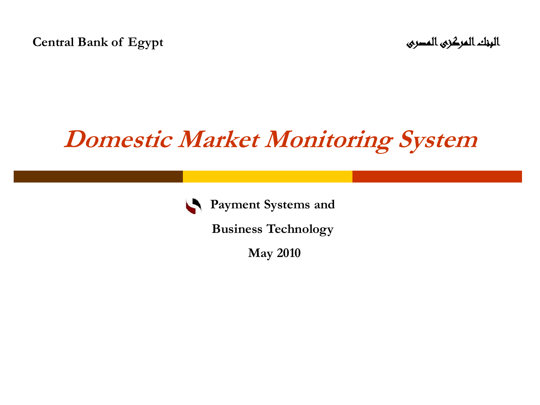**Central Bank of Egypt** المصرى المركزى البنك

### **Domestic Market Monitoring System**



**Payment Systems and** 

**Business Technology** 

**May 2010**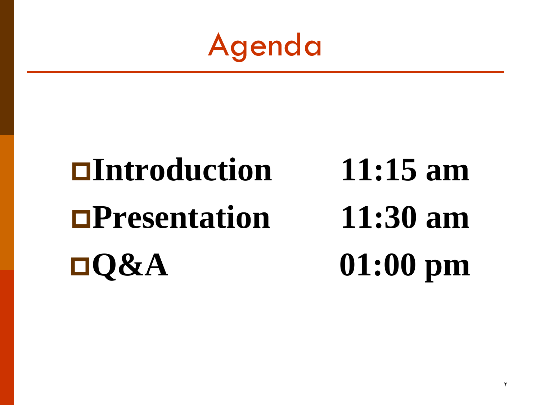Agenda

## **Introduction 11:15 am Presentation 11:30 am Q&A 01:00 pm**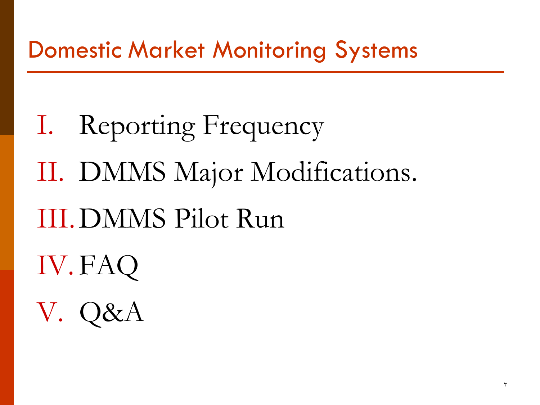I. Reporting Frequency II. DMMS Major Modifications. III.DMMS Pilot Run IV. FAQ V. Q&A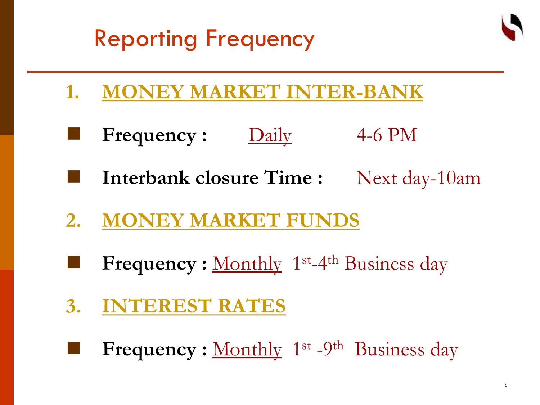### Reporting Frequency



- **1. MONEY MARKET INTER-BANK**
	- **Frequency :** Daily 4-6 PM
- **Interbank closure Time :** Next day-10am
- **2. MONEY MARKET FUNDS**
- **Frequency** : Monthly 1<sup>st</sup>-4<sup>th</sup> Business day
- **3. INTEREST RATES**
- **Frequency**: Monthly 1<sup>st</sup> -9<sup>th</sup> Business day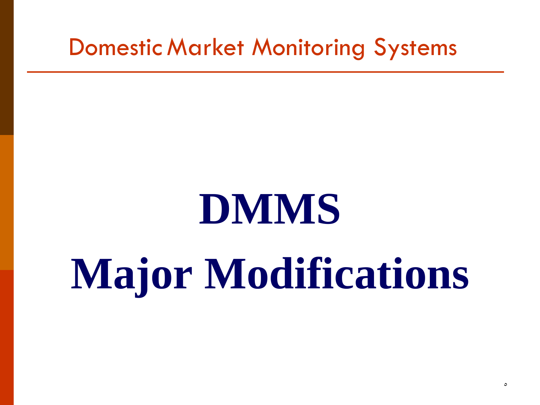## **DMMS**

## **Major Modifications**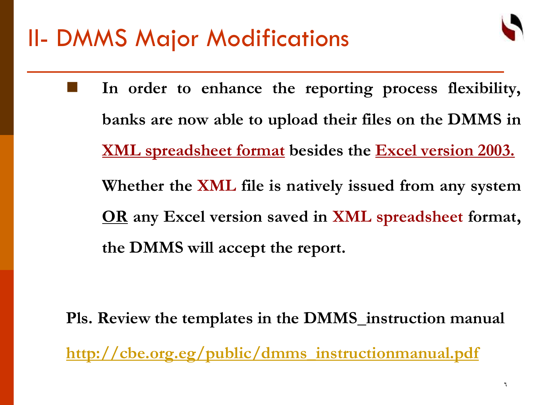

 **In order to enhance the reporting process flexibility, banks are now able to upload their files on the DMMS in XML spreadsheet format besides the Excel version 2003. Whether the XML file is natively issued from any system OR any Excel version saved in XML spreadsheet format, the DMMS will accept the report.**

**Pls. Review the templates in the DMMS\_instruction manual [http://cbe.org.eg/public/dmms\\_instructionmanual.pdf](http://cbe.org.eg/public/dmms_instructionmanual.pdf)**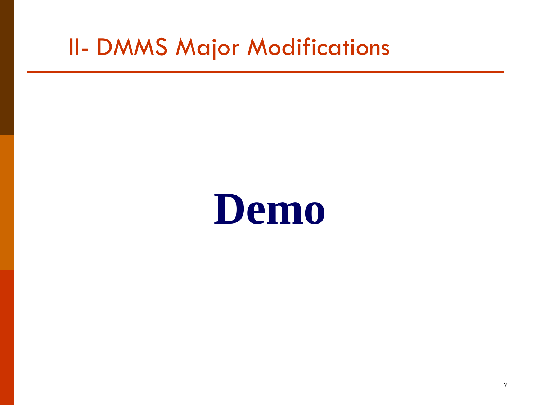### II- DMMS Major Modifications

### **Demo**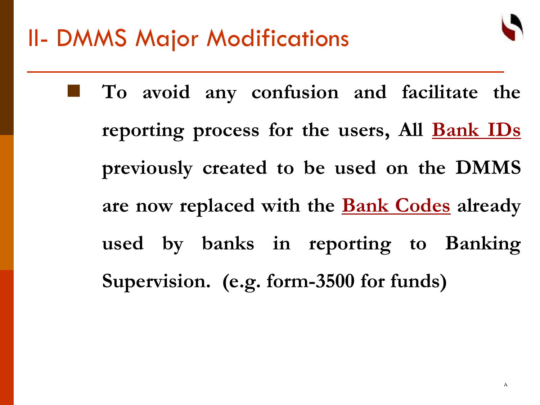

 **To avoid any confusion and facilitate the reporting process for the users, All Bank IDs previously created to be used on the DMMS are now replaced with the Bank Codes already used by banks in reporting to Banking Supervision. (e.g. form-3500 for funds)**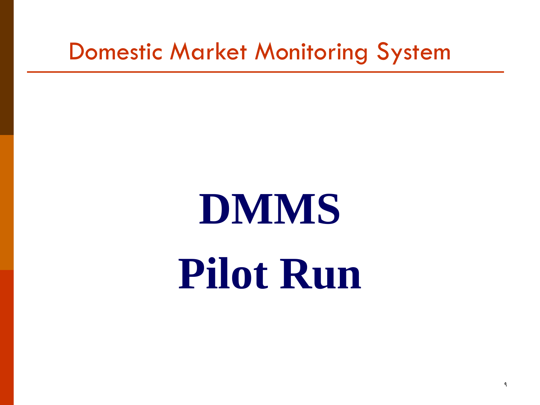## **DMMS Pilot Run**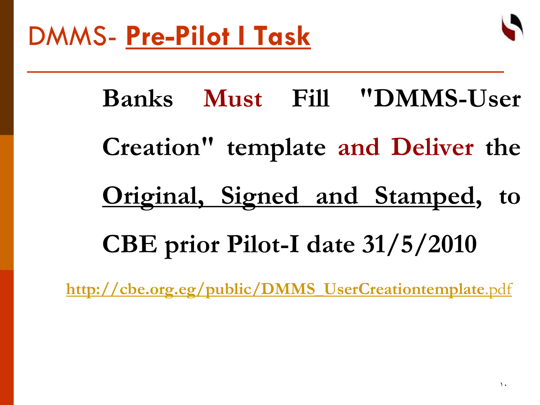

**Banks Must Fill "DMMS-User Creation" template and Deliver the Original, Signed and Stamped, to CBE prior Pilot-I date 31/5/2010**

**[http://cbe.org.eg/public/DMMS\\_UserCreationtemplate](http://cbe.org.eg/public/DMMS_UserCreationtemplate.pdf)**[.pdf](http://cbe.org.eg/public/DMMS_UserCreationtemplate.pdf)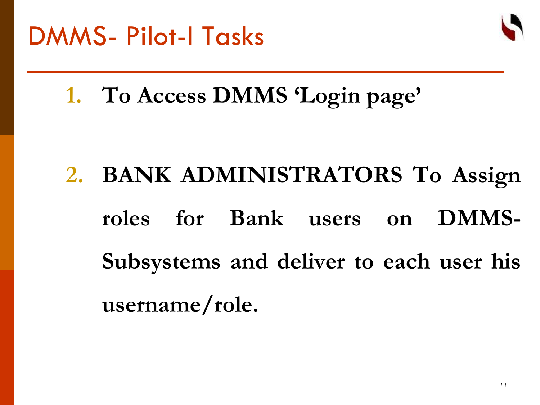

### **1. To Access DMMS 'Login page'**

### **2. BANK ADMINISTRATORS To Assign roles for Bank users on DMMS-Subsystems and deliver to each user his username/role.**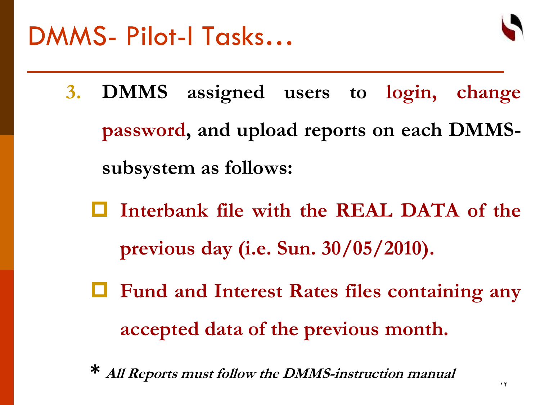

- **3. DMMS assigned users to login, change password, and upload reports on each DMMSsubsystem as follows:**
	- **Interbank file with the REAL DATA of the previous day (i.e. Sun. 30/05/2010).**
	- **Fund and Interest Rates files containing any accepted data of the previous month.**
	- **\* All Reports must follow the DMMS-instruction manual**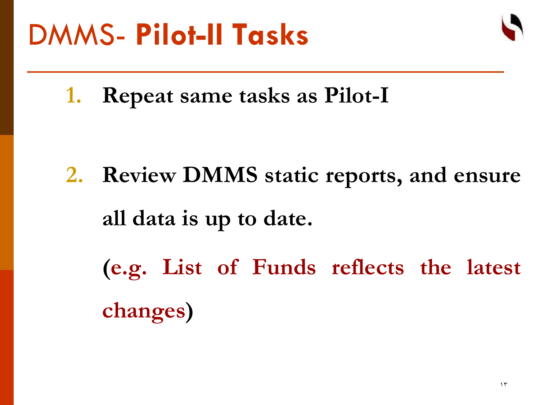

**1. Repeat same tasks as Pilot-I**

**2. Review DMMS static reports, and ensure all data is up to date. (e.g. List of Funds reflects the latest changes)**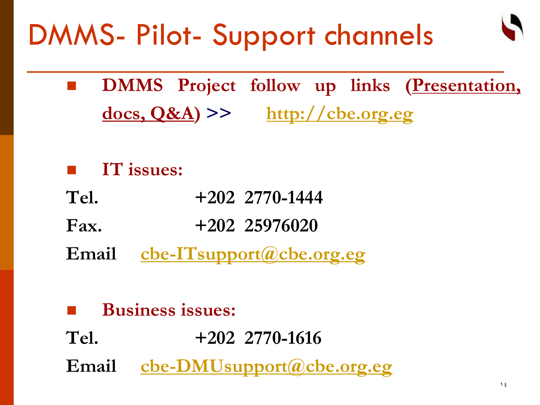### DMMS- Pilot- Support channels

- **DMMS** Project follow up links (Presentation, **docs, Q&A) >> [http://cbe.org.eg](http://cbe.org.eg/)**
- **IT issues:**
- **Tel. +202 2770-1444**
- **Fax. +202 25976020**
- **Email [cbe-ITsupport@cbe.org.eg](mailto:cbe-ITsupport@cbe.org.eg)**
- **Business issues: Tel. +202 2770-1616 Email [cbe-DMUsupport@cbe.org.eg](mailto:cbe-DMUsupport@cbe.org.eg)**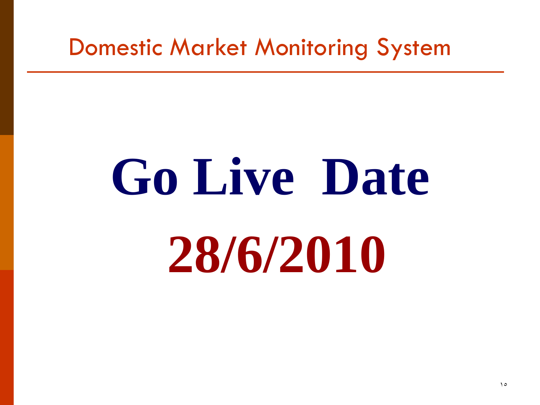# **Go Live Date 28/6/2010**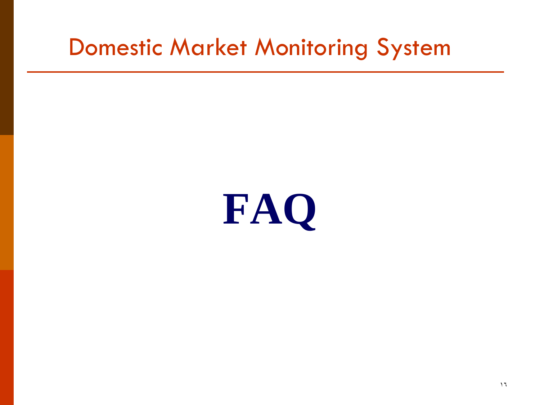## **FAQ**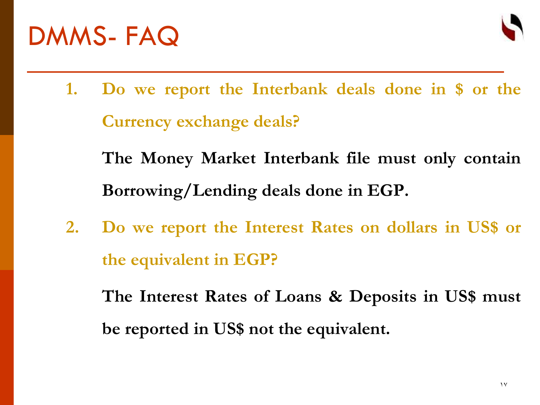



- **1. Do we report the Interbank deals done in \$ or the Currency exchange deals?**
	- **The Money Market Interbank file must only contain Borrowing/Lending deals done in EGP.**
- **2. Do we report the Interest Rates on dollars in US\$ or the equivalent in EGP?**

**The Interest Rates of Loans & Deposits in US\$ must be reported in US\$ not the equivalent.**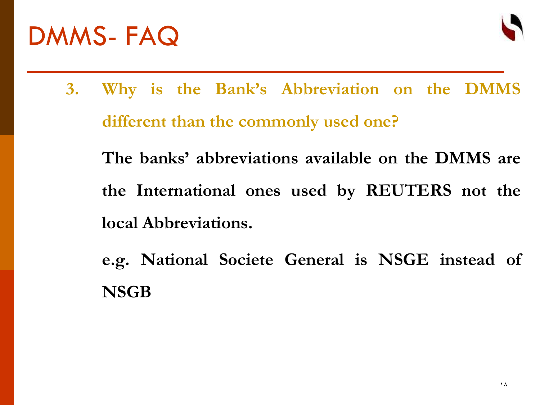### DMMS- FAQ



- **3. Why is the Bank's Abbreviation on the DMMS different than the commonly used one? The banks' abbreviations available on the DMMS are the International ones used by REUTERS not the local Abbreviations.**
	- **e.g. National Societe General is NSGE instead of NSGB**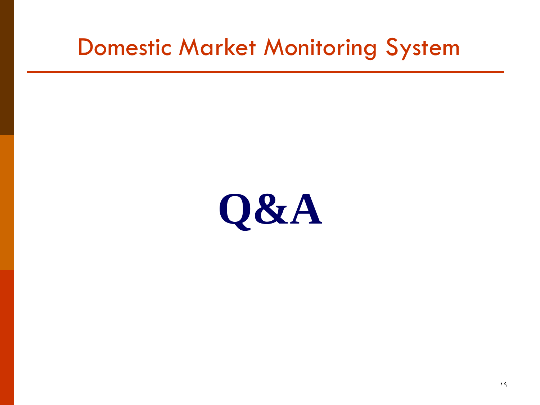